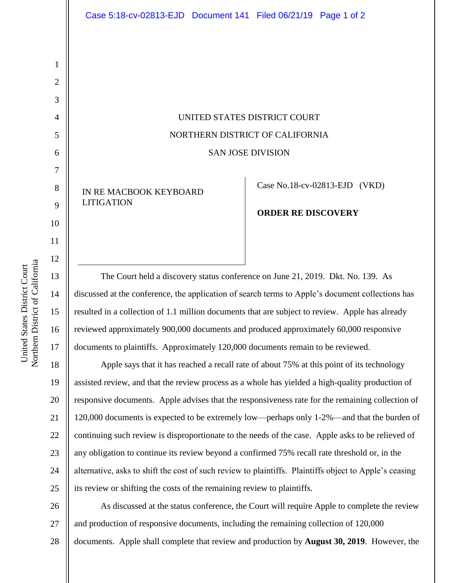## UNITED STATES DISTRICT COURT NORTHERN DISTRICT OF CALIFORNIA SAN JOSE DIVISION

IN RE MACBOOK KEYBOARD LITIGATION

Case No[.18-cv-02813-EJD](https://ecf.cand.uscourts.gov/cgi-bin/DktRpt.pl?326502) (VKD)

## **ORDER RE DISCOVERY**

The Court held a discovery status conference on June 21, 2019. Dkt. No. 139. As discussed at the conference, the application of search terms to Apple's document collections has resulted in a collection of 1.1 million documents that are subject to review. Apple has already reviewed approximately 900,000 documents and produced approximately 60,000 responsive documents to plaintiffs. Approximately 120,000 documents remain to be reviewed.

18 19 20 21 22 23 24 25 Apple says that it has reached a recall rate of about 75% at this point of its technology assisted review, and that the review process as a whole has yielded a high-quality production of responsive documents. Apple advises that the responsiveness rate for the remaining collection of 120,000 documents is expected to be extremely low—perhaps only 1-2%—and that the burden of continuing such review is disproportionate to the needs of the case. Apple asks to be relieved of any obligation to continue its review beyond a confirmed 75% recall rate threshold or, in the alternative, asks to shift the cost of such review to plaintiffs. Plaintiffs object to Apple's ceasing its review or shifting the costs of the remaining review to plaintiffs.

26 27 28 As discussed at the status conference, the Court will require Apple to complete the review and production of responsive documents, including the remaining collection of 120,000 documents. Apple shall complete that review and production by **August 30, 2019**. However, the

1

2

3

4

5

6

7

8

9

10

11

12

13

14

15

16

17